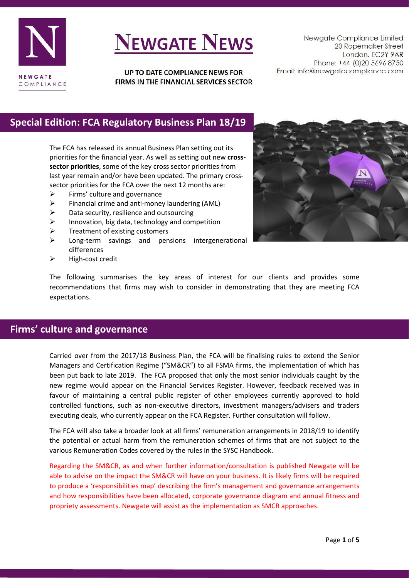

# **NEWGATE NEWS**

UP TO DATE COMPLIANCE NEWS FOR FIRMS IN THE FINANCIAL SERVICES SECTOR

Newgate Compliance Limited 20 Ropemaker Street London. EC2Y 9AR Phone: +44 (0)20 3696 8750 Email: info@newgatecompliance.com

## **Special Edition: FCA Regulatory Business Plan 18/19**

The FCA has released its annual Business Plan setting out its priorities for the financial year. As well as setting out new **crosssector priorities**, some of the key cross sector priorities from last year remain and/or have been updated. The primary crosssector priorities for the FCA over the next 12 months are:

- $\triangleright$  Firms' culture and governance
- ➢ Financial crime and anti-money laundering (AML)
- $\triangleright$  Data security, resilience and outsourcing
- ➢ Innovation, big data, technology and competition
- $\triangleright$  Treatment of existing customers
- ➢ Long-term savings and pensions intergenerational differences
- ➢ High-cost credit



The following summarises the key areas of interest for our clients and provides some recommendations that firms may wish to consider in demonstrating that they are meeting FCA expectations.

## **Firms' culture and governance**

Carried over from the 2017/18 Business Plan, the FCA will be finalising rules to extend the Senior Managers and Certification Regime ("SM&CR") to all FSMA firms, the implementation of which has been put back to late 2019. The FCA proposed that only the most senior individuals caught by the new regime would appear on the Financial Services Register. However, feedback received was in favour of maintaining a central public register of other employees currently approved to hold controlled functions, such as non-executive directors, investment managers/advisers and traders executing deals, who currently appear on the FCA Register. Further consultation will follow.

The FCA will also take a broader look at all firms' remuneration arrangements in 2018/19 to identify the potential or actual harm from the remuneration schemes of firms that are not subject to the various Remuneration Codes covered by the rules in the SYSC Handbook.

Regarding the SM&CR, as and when further information/consultation is published Newgate will be able to advise on the impact the SM&CR will have on your business. It is likely firms will be required to produce a 'responsibilities map' describing the firm's management and governance arrangements and how responsibilities have been allocated, corporate governance diagram and annual fitness and propriety assessments. Newgate will assist as the implementation as SMCR approaches.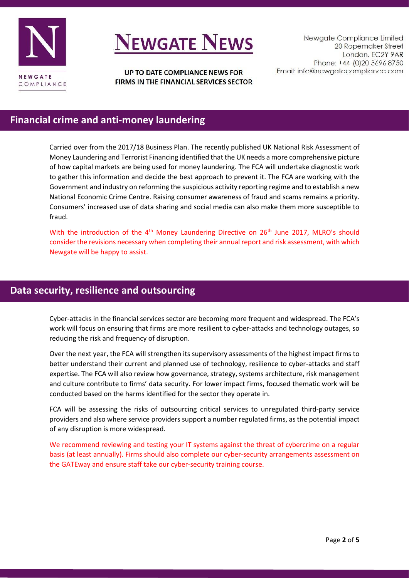

# **VEWGATE NEWS**

UP TO DATE COMPLIANCE NEWS FOR FIRMS IN THE FINANCIAL SERVICES SECTOR

Newgate Compliance Limited 20 Ropemaker Street London. EC2Y 9AR Phone: +44 (0)20 3696 8750 Email: info@newgatecompliance.com

## **Financial crime and anti-money laundering**

Carried over from the 2017/18 Business Plan. The recently published UK National Risk Assessment of Money Laundering and Terrorist Financing identified that the UK needs a more comprehensive picture of how capital markets are being used for money laundering. The FCA will undertake diagnostic work to gather this information and decide the best approach to prevent it. The FCA are working with the Government and industry on reforming the suspicious activity reporting regime and to establish a new National Economic Crime Centre. Raising consumer awareness of fraud and scams remains a priority. Consumers' increased use of data sharing and social media can also make them more susceptible to fraud.

With the introduction of the 4<sup>th</sup> Money Laundering Directive on 26<sup>th</sup> June 2017, MLRO's should consider the revisions necessary when completing their annual report and risk assessment, with which Newgate will be happy to assist.

### **Data security, resilience and outsourcing**

Cyber-attacks in the financial services sector are becoming more frequent and widespread. The FCA's work will focus on ensuring that firms are more resilient to cyber-attacks and technology outages, so reducing the risk and frequency of disruption.

Over the next year, the FCA will strengthen its supervisory assessments of the highest impact firms to better understand their current and planned use of technology, resilience to cyber-attacks and staff expertise. The FCA will also review how governance, strategy, systems architecture, risk management and culture contribute to firms' data security. For lower impact firms, focused thematic work will be conducted based on the harms identified for the sector they operate in.

FCA will be assessing the risks of outsourcing critical services to unregulated third-party service providers and also where service providers support a number regulated firms, as the potential impact of any disruption is more widespread.

We recommend reviewing and testing your IT systems against the threat of cybercrime on a regular basis (at least annually). Firms should also complete our cyber-security arrangements assessment on the GATEway and ensure staff take our cyber-security training course.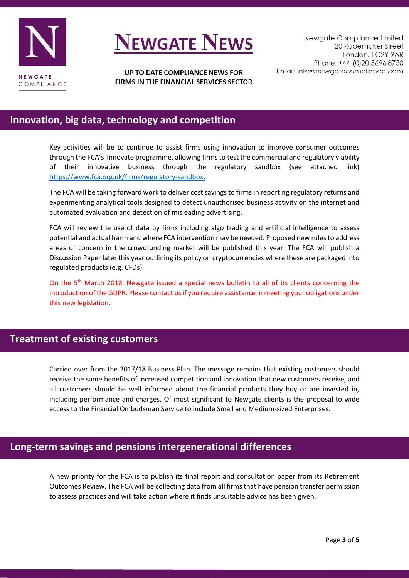

# **NEWGATE NEWS**

UP TO DATE COMPLIANCE NEWS FOR FIRMS IN THE FINANCIAL SERVICES SECTOR

## **Innovation, big data, technology and competition**

Key activities will be to continue to assist firms using innovation to improve consumer outcomes through the FCA's Innovate programme, allowing firms to test the commercial and regulatory viability of their innovative business through the regulatory sandbox (see attached link) [https://www.fca.org.uk/firms/regulatory-sandbox.](https://www.fca.org.uk/firms/regulatory-sandbox)

The FCA will be taking forward work to deliver cost savings to firms in reporting regulatory returns and experimenting analytical tools designed to detect unauthorised business activity on the internet and automated evaluation and detection of misleading advertising.

FCA will review the use of data by firms including algo trading and artificial intelligence to assess potential and actual harm and where FCA intervention may be needed. Proposed new rules to address areas of concern in the crowdfunding market will be published this year. The FCA will publish a Discussion Paper later this year outlining its policy on cryptocurrencies where these are packaged into regulated products (e.g. CFDs).

On the 5<sup>th</sup> March 2018, Newgate issued a special news bulletin to all of its clients concerning the introduction of the GDPR. Please contact us if you require assistance in meeting your obligations under this new legislation.

#### **Treatment of existing customers**

Carried over from the 2017/18 Business Plan. The message remains that existing customers should receive the same benefits of increased competition and innovation that new customers receive, and all customers should be well informed about the financial products they buy or are invested in, including performance and charges. Of most significant to Newgate clients is the proposal to wide access to the Financial Ombudsman Service to include Small and Medium-sized Enterprises.

#### **Long-term savings and pensions intergenerational differences**

A new priority for the FCA is to publish its final report and consultation paper from its Retirement Outcomes Review. The FCA will be collecting data from all firms that have pension transfer permission to assess practices and will take action where it finds unsuitable advice has been given.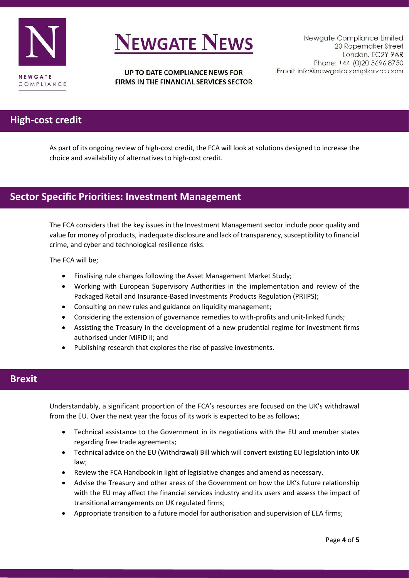

# **VEWGATE NEWS**

#### UP TO DATE COMPLIANCE NEWS FOR FIRMS IN THE FINANCIAL SERVICES SECTOR

### **High-cost credit**

As part of its ongoing review of high-cost credit, the FCA will look at solutions designed to increase the choice and availability of alternatives to high-cost credit.

### **Sector Specific Priorities: Investment Management**

The FCA considers that the key issues in the Investment Management sector include poor quality and value for money of products, inadequate disclosure and lack of transparency, susceptibility to financial crime, and cyber and technological resilience risks.

The FCA will be;

- Finalising rule changes following the Asset Management Market Study;
- Working with European Supervisory Authorities in the implementation and review of the Packaged Retail and Insurance-Based Investments Products Regulation (PRIIPS);
- Consulting on new rules and guidance on liquidity management;
- Considering the extension of governance remedies to with-profits and unit-linked funds;
- Assisting the Treasury in the development of a new prudential regime for investment firms authorised under MiFID II; and
- Publishing research that explores the rise of passive investments.

#### **Brexit**

Understandably, a significant proportion of the FCA's resources are focused on the UK's withdrawal from the EU. Over the next year the focus of its work is expected to be as follows;

- Technical assistance to the Government in its negotiations with the EU and member states regarding free trade agreements;
- Technical advice on the EU (Withdrawal) Bill which will convert existing EU legislation into UK law;
- Review the FCA Handbook in light of legislative changes and amend as necessary.
- Advise the Treasury and other areas of the Government on how the UK's future relationship with the EU may affect the financial services industry and its users and assess the impact of transitional arrangements on UK regulated firms;
- Appropriate transition to a future model for authorisation and supervision of EEA firms;